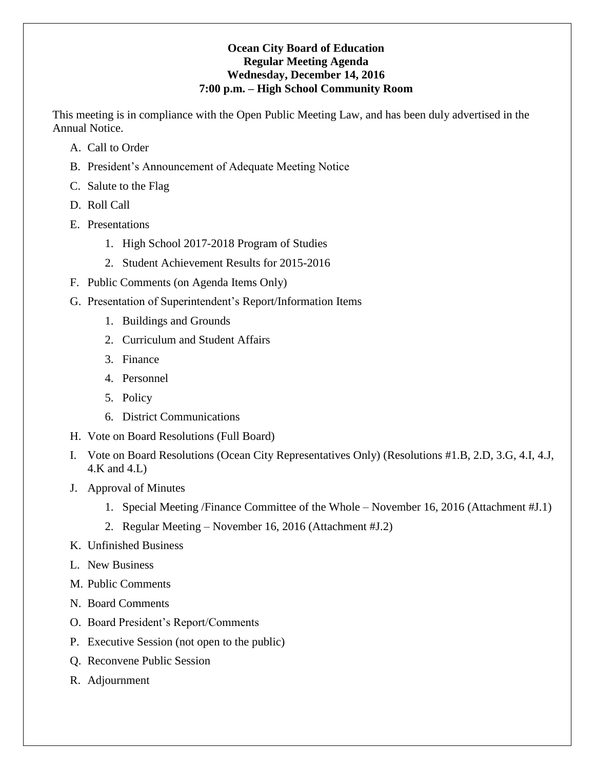#### **Ocean City Board of Education Regular Meeting Agenda Wednesday, December 14, 2016 7:00 p.m. – High School Community Room**

This meeting is in compliance with the Open Public Meeting Law, and has been duly advertised in the Annual Notice.

- A. Call to Order
- B. President's Announcement of Adequate Meeting Notice
- C. Salute to the Flag
- D. Roll Call
- E. Presentations
	- 1. High School 2017-2018 Program of Studies
	- 2. Student Achievement Results for 2015-2016
- F. Public Comments (on Agenda Items Only)
- G. Presentation of Superintendent's Report/Information Items
	- 1. Buildings and Grounds
	- 2. Curriculum and Student Affairs
	- 3. Finance
	- 4. Personnel
	- 5. Policy
	- 6. District Communications
- H. Vote on Board Resolutions (Full Board)
- I. Vote on Board Resolutions (Ocean City Representatives Only) (Resolutions #1.B, 2.D, 3.G, 4.I, 4.J, 4.K and 4.L)
- J. Approval of Minutes
	- 1. Special Meeting /Finance Committee of the Whole November 16, 2016 (Attachment #J.1)
	- 2. Regular Meeting November 16, 2016 (Attachment #J.2)
- K. Unfinished Business
- L. New Business
- M. Public Comments
- N. Board Comments
- O. Board President's Report/Comments
- P. Executive Session (not open to the public)
- Q. Reconvene Public Session
- R. Adjournment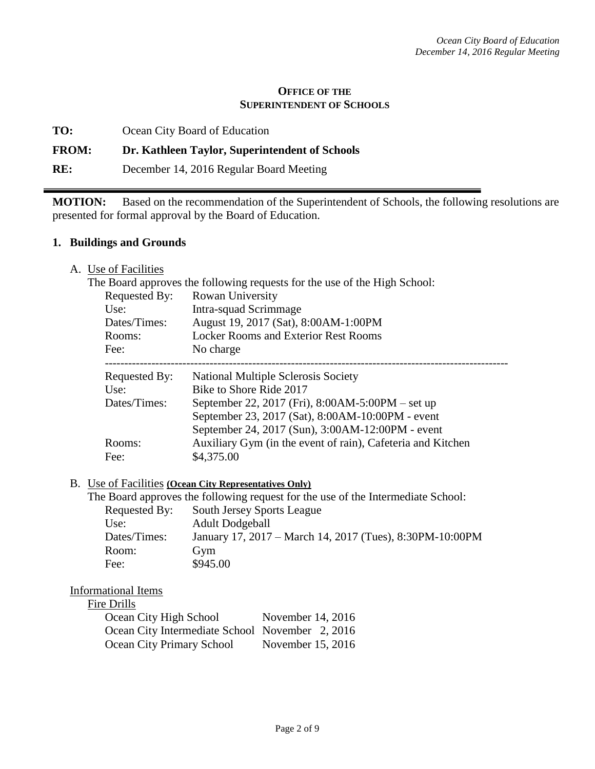#### **OFFICE OF THE SUPERINTENDENT OF SCHOOLS**

**TO:** Ocean City Board of Education

#### **FROM: Dr. Kathleen Taylor, Superintendent of Schools**

**RE:** December 14, 2016 Regular Board Meeting

**MOTION:** Based on the recommendation of the Superintendent of Schools, the following resolutions are presented for formal approval by the Board of Education.

#### **1. Buildings and Grounds**

A. Use of Facilities

|               | The Board approves the following requests for the use of the High School: |
|---------------|---------------------------------------------------------------------------|
| Requested By: | Rowan University                                                          |
| Use:          | Intra-squad Scrimmage                                                     |
| Dates/Times:  | August 19, 2017 (Sat), 8:00AM-1:00PM                                      |
| Rooms:        | <b>Locker Rooms and Exterior Rest Rooms</b>                               |
| Fee:          | No charge                                                                 |
| Requested By: | National Multiple Sclerosis Society                                       |
| Use:          | Bike to Shore Ride 2017                                                   |
| Dates/Times:  | September 22, 2017 (Fri), 8:00AM-5:00PM – set up                          |
|               | September 23, 2017 (Sat), 8:00AM-10:00PM - event                          |
|               | September 24, 2017 (Sun), 3:00AM-12:00PM - event                          |
| Rooms:        | Auxiliary Gym (in the event of rain), Cafeteria and Kitchen               |
| Fee:          | \$4,375.00                                                                |

#### B. Use of Facilities **(Ocean City Representatives Only)**

The Board approves the following request for the use of the Intermediate School:

| Requested By: | South Jersey Sports League                               |
|---------------|----------------------------------------------------------|
| Use:          | <b>Adult Dodgeball</b>                                   |
| Dates/Times:  | January 17, 2017 – March 14, 2017 (Tues), 8:30PM-10:00PM |
| Room:         | Gym                                                      |
| Fee:          | \$945.00                                                 |

#### Informational Items

#### Fire Drills

| Ocean City High School                          | November 14, 2016 |
|-------------------------------------------------|-------------------|
| Ocean City Intermediate School November 2, 2016 |                   |
| Ocean City Primary School                       | November 15, 2016 |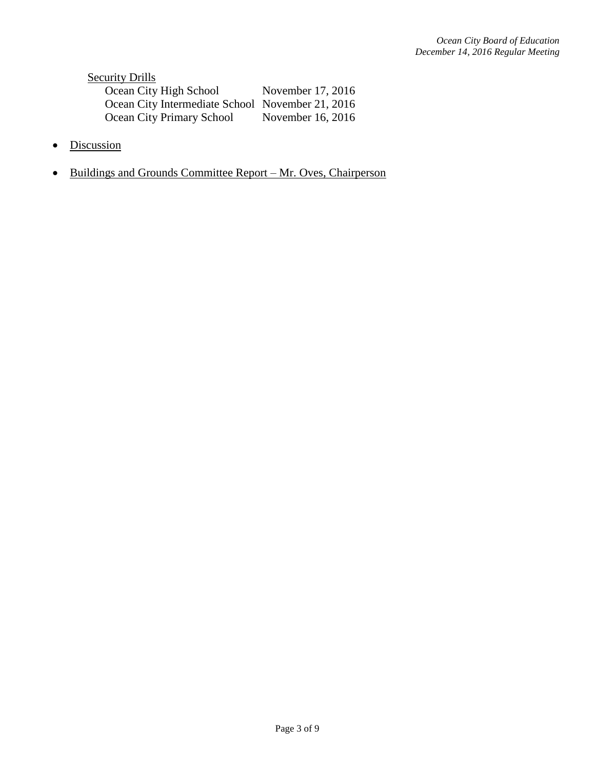**Security Drills** Ocean City High School November 17, 2016 Ocean City Intermediate School November 21, 2016 Ocean City Primary School November 16, 2016

- Discussion
- Buildings and Grounds Committee Report Mr. Oves, Chairperson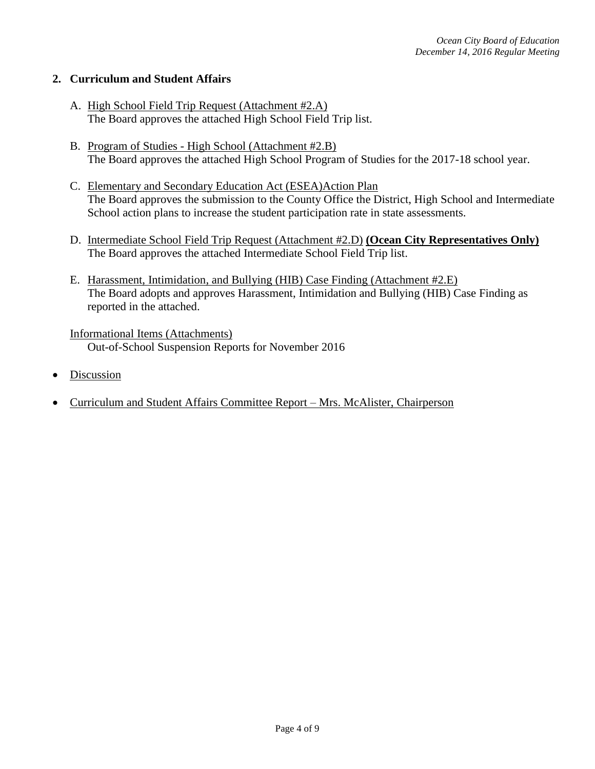### **2. Curriculum and Student Affairs**

- A. High School Field Trip Request (Attachment #2.A) The Board approves the attached High School Field Trip list.
- B. Program of Studies High School (Attachment #2.B) The Board approves the attached High School Program of Studies for the 2017-18 school year.
- C. Elementary and Secondary Education Act (ESEA)Action Plan The Board approves the submission to the County Office the District, High School and Intermediate School action plans to increase the student participation rate in state assessments.
- D. Intermediate School Field Trip Request (Attachment #2.D) **(Ocean City Representatives Only)** The Board approves the attached Intermediate School Field Trip list.
- E. Harassment, Intimidation, and Bullying (HIB) Case Finding (Attachment #2.E) The Board adopts and approves Harassment, Intimidation and Bullying (HIB) Case Finding as reported in the attached.

Informational Items (Attachments) Out-of-School Suspension Reports for November 2016

- Discussion
- Curriculum and Student Affairs Committee Report Mrs. McAlister, Chairperson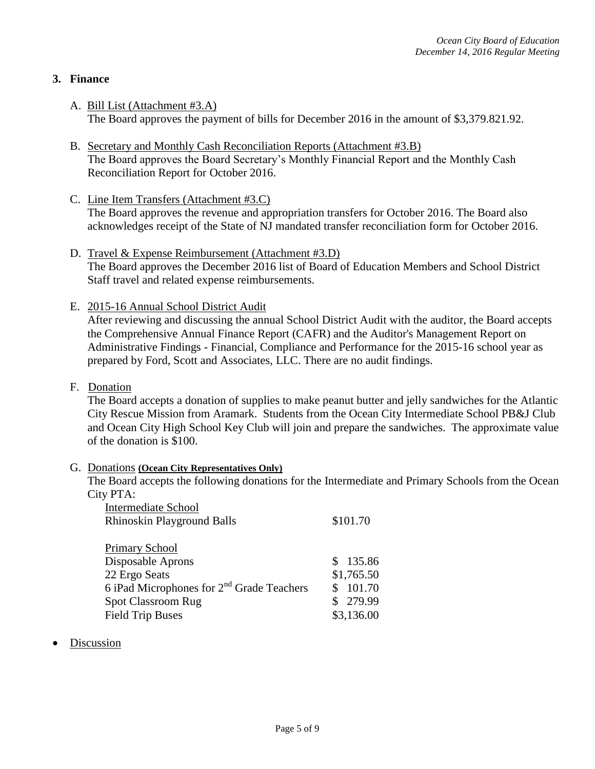## **3. Finance**

- A. Bill List (Attachment #3.A) The Board approves the payment of bills for December 2016 in the amount of \$3,379.821.92.
- B. Secretary and Monthly Cash Reconciliation Reports (Attachment #3.B) The Board approves the Board Secretary's Monthly Financial Report and the Monthly Cash Reconciliation Report for October 2016.
- C. Line Item Transfers (Attachment #3.C) The Board approves the revenue and appropriation transfers for October 2016. The Board also acknowledges receipt of the State of NJ mandated transfer reconciliation form for October 2016.
- D. Travel & Expense Reimbursement (Attachment #3.D) The Board approves the December 2016 list of Board of Education Members and School District Staff travel and related expense reimbursements.
- E. 2015-16 Annual School District Audit

After reviewing and discussing the annual School District Audit with the auditor, the Board accepts the Comprehensive Annual Finance Report (CAFR) and the Auditor's Management Report on Administrative Findings - Financial, Compliance and Performance for the 2015-16 school year as prepared by Ford, Scott and Associates, LLC. There are no audit findings.

F. Donation

The Board accepts a donation of supplies to make peanut butter and jelly sandwiches for the Atlantic City Rescue Mission from Aramark. Students from the Ocean City Intermediate School PB&J Club and Ocean City High School Key Club will join and prepare the sandwiches. The approximate value of the donation is \$100.

#### G. Donations **(Ocean City Representatives Only)**

The Board accepts the following donations for the Intermediate and Primary Schools from the Ocean City PTA:

| <b>Intermediate School</b>                            |                         |
|-------------------------------------------------------|-------------------------|
| <b>Rhinoskin Playground Balls</b>                     | \$101.70                |
|                                                       |                         |
| <b>Primary School</b>                                 |                         |
| Disposable Aprons                                     | \$135.86                |
| 22 Ergo Seats                                         | \$1,765.50              |
| 6 iPad Microphones for 2 <sup>nd</sup> Grade Teachers | 101.70<br>$\mathcal{S}$ |
| <b>Spot Classroom Rug</b>                             | \$279.99                |
| <b>Field Trip Buses</b>                               | \$3,136.00              |
|                                                       |                         |

Discussion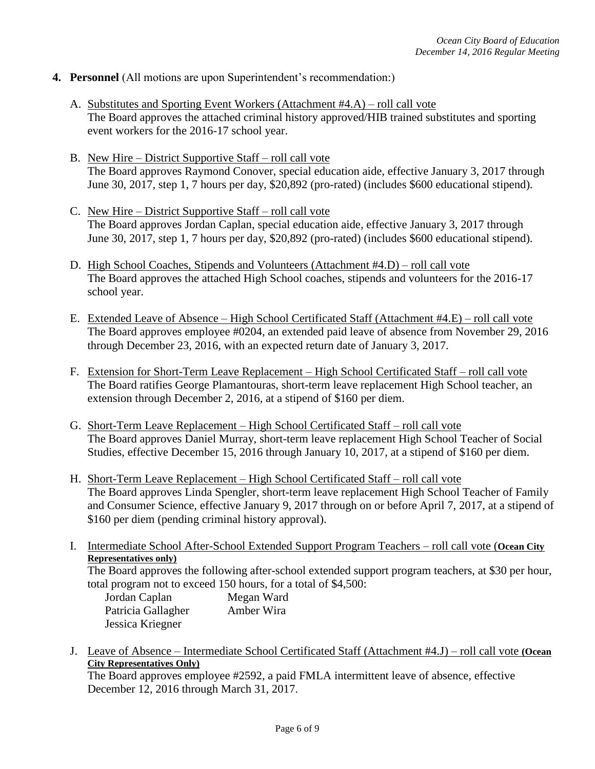- **4. Personnel** (All motions are upon Superintendent's recommendation:)
	- A. Substitutes and Sporting Event Workers (Attachment #4.A) roll call vote The Board approves the attached criminal history approved/HIB trained substitutes and sporting event workers for the 2016-17 school year.
	- B. New Hire District Supportive Staff roll call vote The Board approves Raymond Conover, special education aide, effective January 3, 2017 through June 30, 2017, step 1, 7 hours per day, \$20,892 (pro-rated) (includes \$600 educational stipend).
	- C. New Hire District Supportive Staff roll call vote The Board approves Jordan Caplan, special education aide, effective January 3, 2017 through June 30, 2017, step 1, 7 hours per day, \$20,892 (pro-rated) (includes \$600 educational stipend).
	- D. High School Coaches, Stipends and Volunteers (Attachment #4.D) roll call vote The Board approves the attached High School coaches, stipends and volunteers for the 2016-17 school year.
	- E. Extended Leave of Absence High School Certificated Staff (Attachment #4.E) roll call vote The Board approves employee #0204, an extended paid leave of absence from November 29, 2016 through December 23, 2016, with an expected return date of January 3, 2017.
	- F. Extension for Short-Term Leave Replacement High School Certificated Staff roll call vote The Board ratifies George Plamantouras, short-term leave replacement High School teacher, an extension through December 2, 2016, at a stipend of \$160 per diem.
	- G. Short-Term Leave Replacement High School Certificated Staff roll call vote The Board approves Daniel Murray, short-term leave replacement High School Teacher of Social Studies, effective December 15, 2016 through January 10, 2017, at a stipend of \$160 per diem.
	- H. Short-Term Leave Replacement High School Certificated Staff roll call vote The Board approves Linda Spengler, short-term leave replacement High School Teacher of Family and Consumer Science, effective January 9, 2017 through on or before April 7, 2017, at a stipend of \$160 per diem (pending criminal history approval).
	- I. Intermediate School After-School Extended Support Program Teachers roll call vote (**Ocean City Representatives only)**

The Board approves the following after-school extended support program teachers, at \$30 per hour, total program not to exceed 150 hours, for a total of \$4,500:

| Jordan Caplan      | Megan Ward |
|--------------------|------------|
| Patricia Gallagher | Amber Wira |
| Jessica Kriegner   |            |

J. Leave of Absence – Intermediate School Certificated Staff (Attachment #4.J) – roll call vote **(Ocean City Representatives Only)**

The Board approves employee #2592, a paid FMLA intermittent leave of absence, effective December 12, 2016 through March 31, 2017.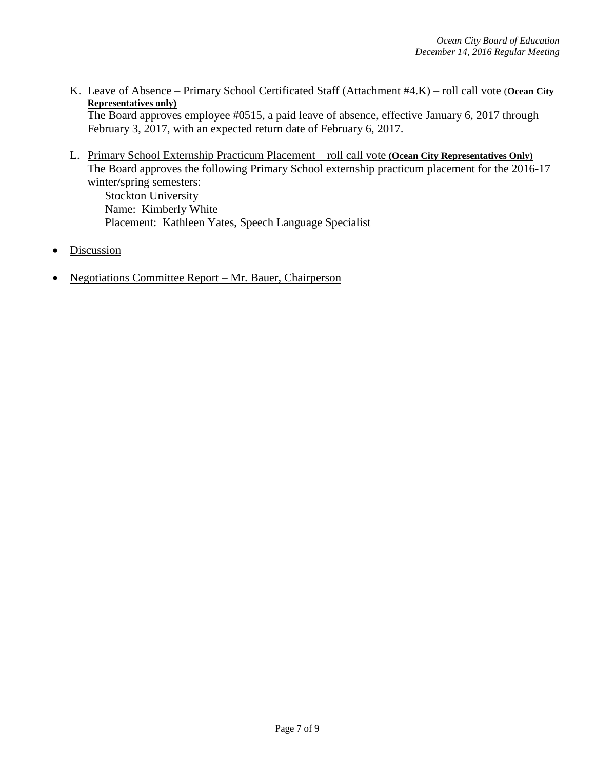K. Leave of Absence – Primary School Certificated Staff (Attachment #4.K) – roll call vote (**Ocean City Representatives only)**

The Board approves employee #0515, a paid leave of absence, effective January 6, 2017 through February 3, 2017, with an expected return date of February 6, 2017.

L. Primary School Externship Practicum Placement – roll call vote **(Ocean City Representatives Only)** The Board approves the following Primary School externship practicum placement for the 2016-17 winter/spring semesters:

**Stockton University** Name: Kimberly White Placement: Kathleen Yates, Speech Language Specialist

- **Discussion**
- Negotiations Committee Report Mr. Bauer, Chairperson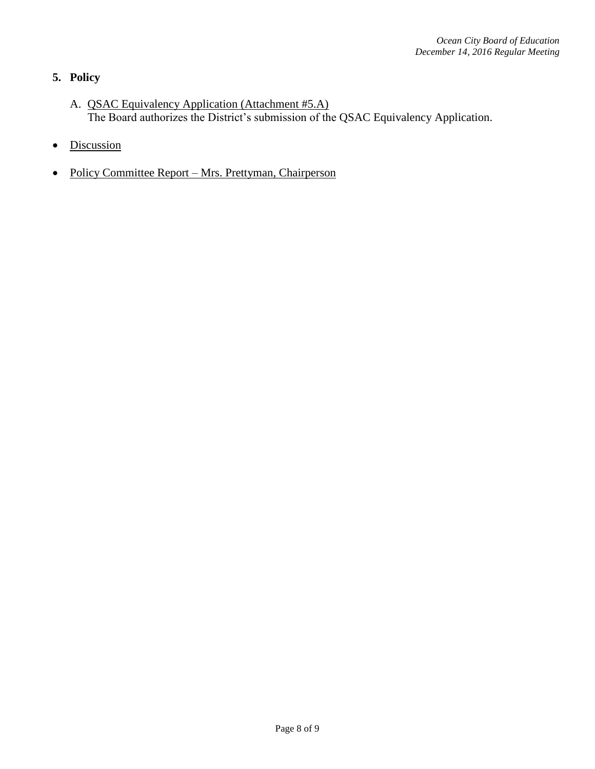# **5. Policy**

- A. QSAC Equivalency Application (Attachment #5.A) The Board authorizes the District's submission of the QSAC Equivalency Application.
- Discussion
- Policy Committee Report Mrs. Prettyman, Chairperson